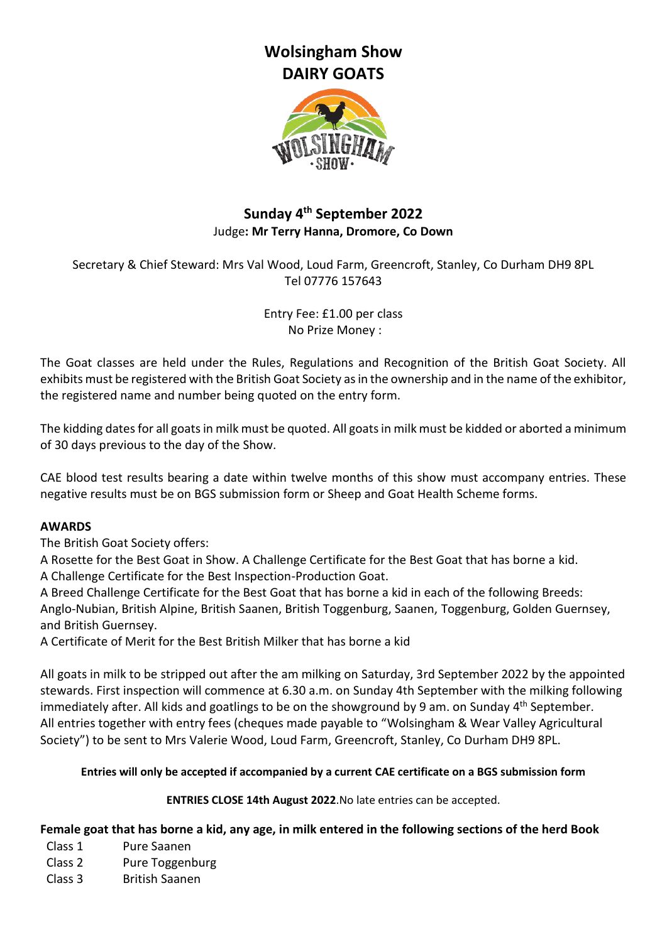# **Wolsingham Show DAIRY GOATS**



# **Sunday 4 th September 2022** Judge**: Mr Terry Hanna, Dromore, Co Down**

Secretary & Chief Steward: Mrs Val Wood, Loud Farm, Greencroft, Stanley, Co Durham DH9 8PL Tel 07776 157643

> Entry Fee: £1.00 per class No Prize Money :

The Goat classes are held under the Rules, Regulations and Recognition of the British Goat Society. All exhibits must be registered with the British Goat Society as in the ownership and in the name of the exhibitor, the registered name and number being quoted on the entry form.

The kidding dates for all goats in milk must be quoted. All goats in milk must be kidded or aborted a minimum of 30 days previous to the day of the Show.

CAE blood test results bearing a date within twelve months of this show must accompany entries. These negative results must be on BGS submission form or Sheep and Goat Health Scheme forms.

### **AWARDS**

The British Goat Society offers:

A Rosette for the Best Goat in Show. A Challenge Certificate for the Best Goat that has borne a kid.

A Challenge Certificate for the Best Inspection-Production Goat.

A Breed Challenge Certificate for the Best Goat that has borne a kid in each of the following Breeds: Anglo-Nubian, British Alpine, British Saanen, British Toggenburg, Saanen, Toggenburg, Golden Guernsey, and British Guernsey.

A Certificate of Merit for the Best British Milker that has borne a kid

All goats in milk to be stripped out after the am milking on Saturday, 3rd September 2022 by the appointed stewards. First inspection will commence at 6.30 a.m. on Sunday 4th September with the milking following immediately after. All kids and goatlings to be on the showground by 9 am. on Sunday 4<sup>th</sup> September. All entries together with entry fees (cheques made payable to "Wolsingham & Wear Valley Agricultural Society") to be sent to Mrs Valerie Wood, Loud Farm, Greencroft, Stanley, Co Durham DH9 8PL.

### **Entries will only be accepted if accompanied by a current CAE certificate on a BGS submission form**

**ENTRIES CLOSE 14th August 2022**.No late entries can be accepted.

### **Female goat that has borne a kid, any age, in milk entered in the following sections of the herd Book**

- Class 1 Pure Saanen
- Class 2 Pure Toggenburg
- Class 3 British Saanen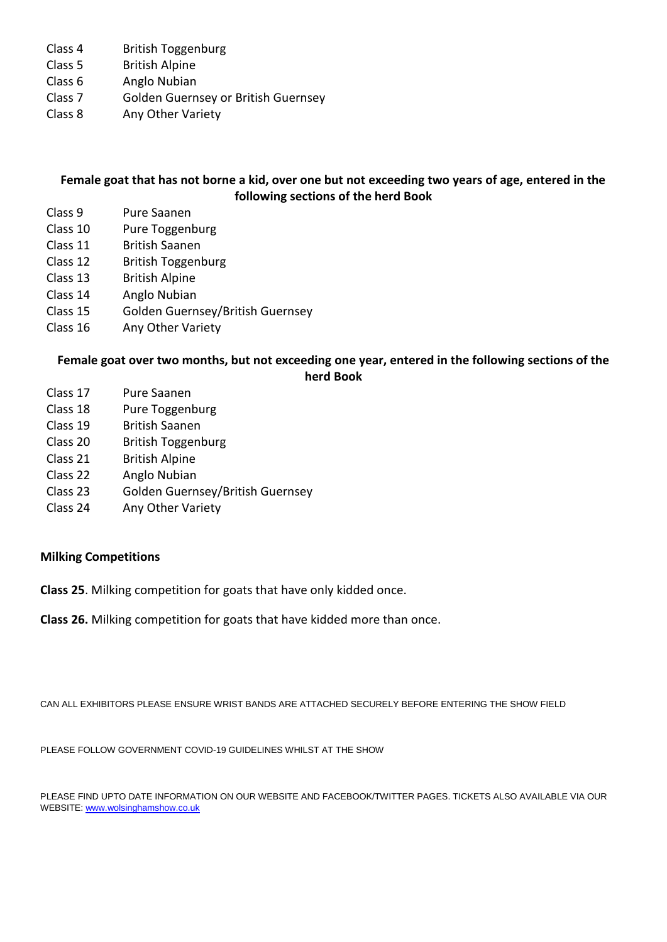- Class 4 British Toggenburg
- Class 5 British Alpine
- Class 6 Anglo Nubian
- Class 7 Golden Guernsey or British Guernsey
- Class 8 Any Other Variety

#### **Female goat that has not borne a kid, over one but not exceeding two years of age, entered in the following sections of the herd Book**

- Class 9 Pure Saanen
- Class 10 Pure Toggenburg
- Class 11 British Saanen
- Class 12 British Toggenburg
- Class 13 British Alpine
- Class 14 Anglo Nubian
- Class 15 Golden Guernsey/British Guernsey
- Class 16 Any Other Variety

## **Female goat over two months, but not exceeding one year, entered in the following sections of the herd Book**

- Class 17 Pure Saanen
- Class 18 Pure Toggenburg
- Class 19 British Saanen
- Class 20 British Toggenburg
- Class 21 British Alpine
- Class 22 Anglo Nubian
- Class 23 Golden Guernsey/British Guernsey
- Class 24 Any Other Variety

#### **Milking Competitions**

**Class 25**. Milking competition for goats that have only kidded once.

**Class 26.** Milking competition for goats that have kidded more than once.

CAN ALL EXHIBITORS PLEASE ENSURE WRIST BANDS ARE ATTACHED SECURELY BEFORE ENTERING THE SHOW FIELD

PLEASE FOLLOW GOVERNMENT COVID-19 GUIDELINES WHILST AT THE SHOW

PLEASE FIND UPTO DATE INFORMATION ON OUR WEBSITE AND FACEBOOK/TWITTER PAGES. TICKETS ALSO AVAILABLE VIA OUR WEBSITE[: www.wolsinghamshow.co.uk](http://www.wolsinghamshow.co.uk/)